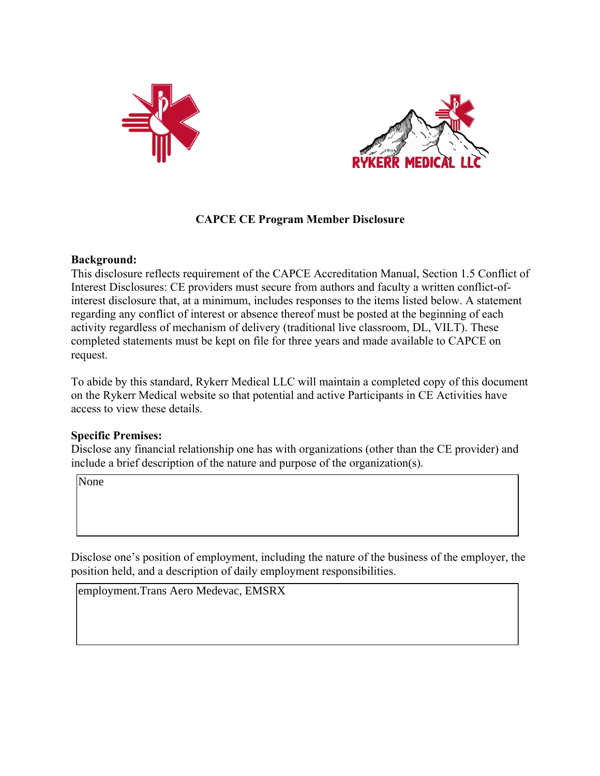



### **CAPCE CE Program Member Disclosure**

#### **Background:**

This disclosure reflects requirement of the CAPCE Accreditation Manual, Section 1.5 Conflict of Interest Disclosures: CE providers must secure from authors and faculty a written conflict-ofinterest disclosure that, at a minimum, includes responses to the items listed below. A statement regarding any conflict of interest or absence thereof must be posted at the beginning of each activity regardless of mechanism of delivery (traditional live classroom, DL, VILT). These completed statements must be kept on file for three years and made available to CAPCE on request.

To abide by this standard, Rykerr Medical LLC will maintain a completed copy of this document on the Rykerr Medical website so that potential and active Participants in CE Activities have access to view these details.

#### **Specific Premises:**

Disclose any financial relationship one has with organizations (other than the CE provider) and include a brief description of the nature and purpose of the organization(s).

Disclose one's position of employment, including the nature of the business of the employer, the position held, and a description of daily employment responsibilities. None<br>Visclose one's position of employment, inclue<br>osition held, and a description of daily emple<br>employment.Trans Aero Medevac, EMSRX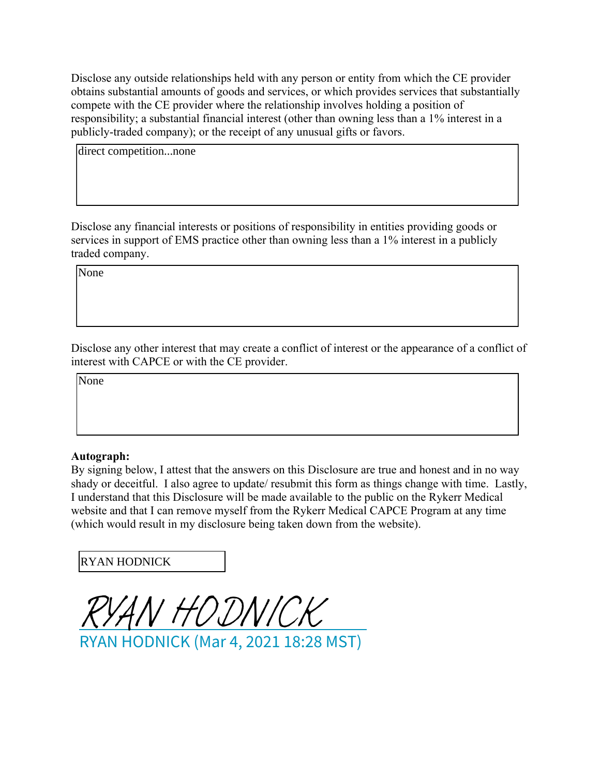Disclose any outside relationships held with any person or entity from which the CE provider obtains substantial amounts of goods and services, or which provides services that substantially compete with the CE provider where the relationship involves holding a position of responsibility; a substantial financial interest (other than owning less than a 1% interest in a publicly-traded company); or the receipt of any unusual gifts or favors.

direct competition...none

Disclose any financial interests or positions of responsibility in entities providing goods or services in support of EMS practice other than owning less than a 1% interest in a publicly traded company.

Disclose any other interest that may create a conflict of interest or the appearance of a conflict of interest with CAPCE or with the CE provider. None<br>11<br>11<br>None<br>None

## **Autograph:**

By signing below, I attest that the answers on this Disclosure are true and honest and in no way shady or deceitful. I also agree to update/ resubmit this form as things change with time. Lastly, I understand that this Disclosure will be made available to the public on the Rykerr Medical website and that I can remove myself from the Rykerr Medical CAPCE Program at any time (which would result in my disclosure being taken down from the website).

RYAN HODNICK

[RYAN HODNICK](https://na2.documents.adobe.com/verifier?tx=CBJCHBCAABAAWcpbPAxlkMUIc93sEEhZggCpbEOUmlMh)

RYAN HODNICK (Mar 4, 2021 18:28 MST)